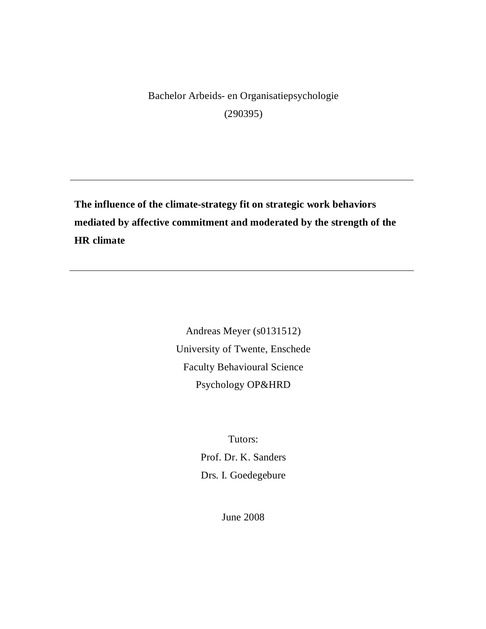Bachelor Arbeids- en Organisatiepsychologie (290395)

**The influence of the climate-strategy fit on strategic work behaviors mediated by affective commitment and moderated by the strength of the HR climate** 

> Andreas Meyer (s0131512) University of Twente, Enschede Faculty Behavioural Science Psychology OP&HRD

> > Tutors: Prof. Dr. K. Sanders Drs. I. Goedegebure

> > > June 2008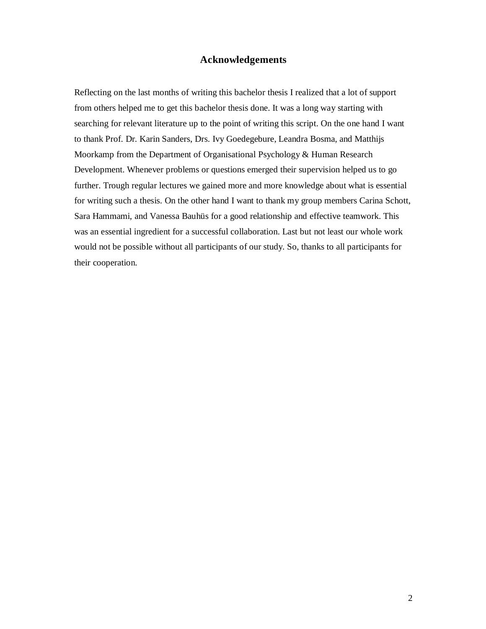## **Acknowledgements**

Reflecting on the last months of writing this bachelor thesis I realized that a lot of support from others helped me to get this bachelor thesis done. It was a long way starting with searching for relevant literature up to the point of writing this script. On the one hand I want to thank Prof. Dr. Karin Sanders, Drs. Ivy Goedegebure, Leandra Bosma, and Matthijs Moorkamp from the Department of Organisational Psychology & Human Research Development. Whenever problems or questions emerged their supervision helped us to go further. Trough regular lectures we gained more and more knowledge about what is essential for writing such a thesis. On the other hand I want to thank my group members Carina Schott, Sara Hammami, and Vanessa Bauhüs for a good relationship and effective teamwork. This was an essential ingredient for a successful collaboration. Last but not least our whole work would not be possible without all participants of our study. So, thanks to all participants for their cooperation.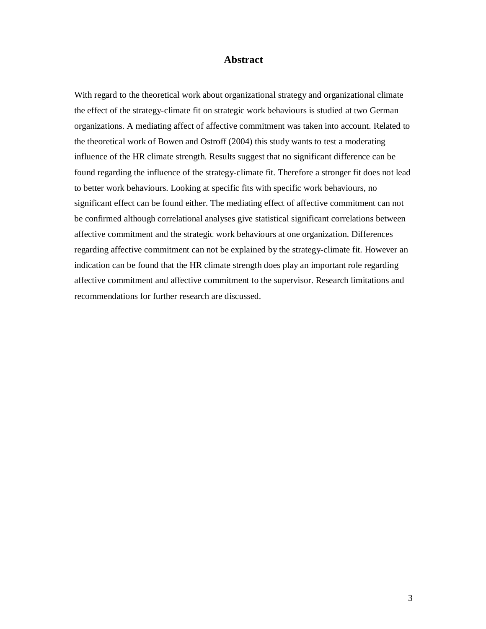## **Abstract**

With regard to the theoretical work about organizational strategy and organizational climate the effect of the strategy-climate fit on strategic work behaviours is studied at two German organizations. A mediating affect of affective commitment was taken into account. Related to the theoretical work of Bowen and Ostroff (2004) this study wants to test a moderating influence of the HR climate strength. Results suggest that no significant difference can be found regarding the influence of the strategy-climate fit. Therefore a stronger fit does not lead to better work behaviours. Looking at specific fits with specific work behaviours, no significant effect can be found either. The mediating effect of affective commitment can not be confirmed although correlational analyses give statistical significant correlations between affective commitment and the strategic work behaviours at one organization. Differences regarding affective commitment can not be explained by the strategy-climate fit. However an indication can be found that the HR climate strength does play an important role regarding affective commitment and affective commitment to the supervisor. Research limitations and recommendations for further research are discussed.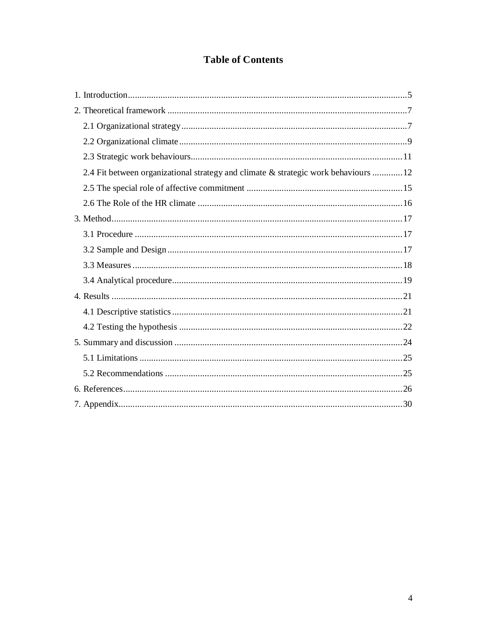# **Table of Contents**

| 2.4 Fit between organizational strategy and climate & strategic work behaviours  12 |
|-------------------------------------------------------------------------------------|
|                                                                                     |
|                                                                                     |
|                                                                                     |
|                                                                                     |
|                                                                                     |
|                                                                                     |
|                                                                                     |
|                                                                                     |
|                                                                                     |
|                                                                                     |
|                                                                                     |
|                                                                                     |
|                                                                                     |
|                                                                                     |
|                                                                                     |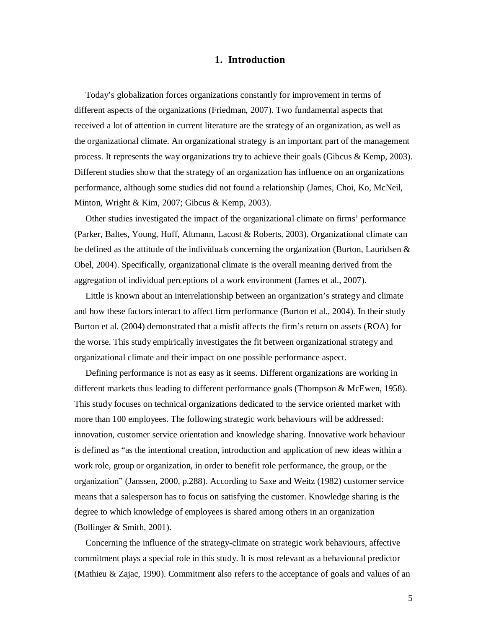## **1. Introduction**

Today's globalization forces organizations constantly for improvement in terms of different aspects of the organizations (Friedman, 2007). Two fundamental aspects that received a lot of attention in current literature are the strategy of an organization, as well as the organizational climate. An organizational strategy is an important part of the management process. It represents the way organizations try to achieve their goals (Gibcus & Kemp, 2003). Different studies show that the strategy of an organization has influence on an organizations performance, although some studies did not found a relationship (James, Choi, Ko, McNeil, Minton, Wright & Kim, 2007; Gibcus & Kemp, 2003).

Other studies investigated the impact of the organizational climate on firms' performance (Parker, Baltes, Young, Huff, Altmann, Lacost & Roberts, 2003). Organizational climate can be defined as the attitude of the individuals concerning the organization (Burton, Lauridsen & Obel, 2004). Specifically, organizational climate is the overall meaning derived from the aggregation of individual perceptions of a work environment (James et al., 2007).

Little is known about an interrelationship between an organization's strategy and climate and how these factors interact to affect firm performance (Burton et al., 2004). In their study Burton et al. (2004) demonstrated that a misfit affects the firm's return on assets (ROA) for the worse. This study empirically investigates the fit between organizational strategy and organizational climate and their impact on one possible performance aspect.

Defining performance is not as easy as it seems. Different organizations are working in different markets thus leading to different performance goals (Thompson & McEwen, 1958). This study focuses on technical organizations dedicated to the service oriented market with more than 100 employees. The following strategic work behaviours will be addressed: innovation, customer service orientation and knowledge sharing. Innovative work behaviour is defined as "as the intentional creation, introduction and application of new ideas within a work role, group or organization, in order to benefit role performance, the group, or the organization" (Janssen, 2000, p.288). According to Saxe and Weitz (1982) customer service means that a salesperson has to focus on satisfying the customer. Knowledge sharing is the degree to which knowledge of employees is shared among others in an organization (Bollinger & Smith, 2001).

Concerning the influence of the strategy-climate on strategic work behaviours, affective commitment plays a special role in this study. It is most relevant as a behavioural predictor (Mathieu & Zajac, 1990). Commitment also refers to the acceptance of goals and values of an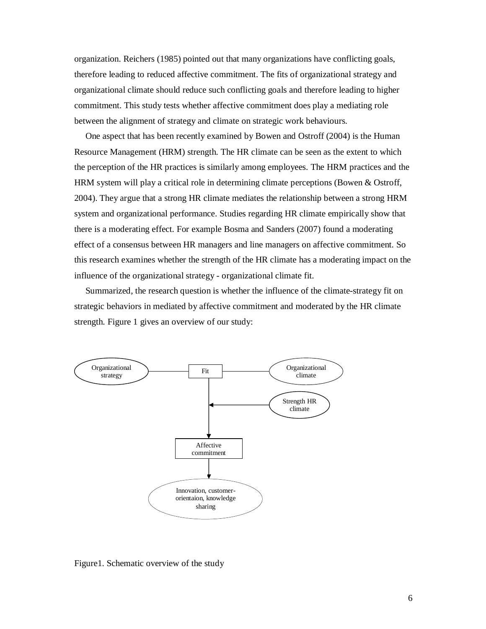organization. Reichers (1985) pointed out that many organizations have conflicting goals, therefore leading to reduced affective commitment. The fits of organizational strategy and organizational climate should reduce such conflicting goals and therefore leading to higher commitment. This study tests whether affective commitment does play a mediating role between the alignment of strategy and climate on strategic work behaviours.

One aspect that has been recently examined by Bowen and Ostroff (2004) is the Human Resource Management (HRM) strength. The HR climate can be seen as the extent to which the perception of the HR practices is similarly among employees. The HRM practices and the HRM system will play a critical role in determining climate perceptions (Bowen & Ostroff, 2004). They argue that a strong HR climate mediates the relationship between a strong HRM system and organizational performance. Studies regarding HR climate empirically show that there is a moderating effect. For example Bosma and Sanders (2007) found a moderating effect of a consensus between HR managers and line managers on affective commitment. So this research examines whether the strength of the HR climate has a moderating impact on the influence of the organizational strategy - organizational climate fit.

Summarized, the research question is whether the influence of the climate-strategy fit on strategic behaviors in mediated by affective commitment and moderated by the HR climate strength. Figure 1 gives an overview of our study:



Figure1. Schematic overview of the study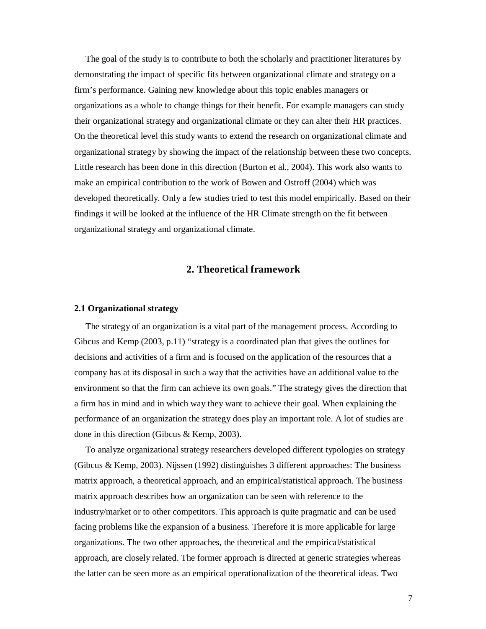The goal of the study is to contribute to both the scholarly and practitioner literatures by demonstrating the impact of specific fits between organizational climate and strategy on a firm's performance. Gaining new knowledge about this topic enables managers or organizations as a whole to change things for their benefit. For example managers can study their organizational strategy and organizational climate or they can alter their HR practices. On the theoretical level this study wants to extend the research on organizational climate and organizational strategy by showing the impact of the relationship between these two concepts. Little research has been done in this direction (Burton et al., 2004). This work also wants to make an empirical contribution to the work of Bowen and Ostroff (2004) which was developed theoretically. Only a few studies tried to test this model empirically. Based on their findings it will be looked at the influence of the HR Climate strength on the fit between organizational strategy and organizational climate.

## **2. Theoretical framework**

#### **2.1 Organizational strategy**

 The strategy of an organization is a vital part of the management process. According to Gibcus and Kemp (2003, p.11) "strategy is a coordinated plan that gives the outlines for decisions and activities of a firm and is focused on the application of the resources that a company has at its disposal in such a way that the activities have an additional value to the environment so that the firm can achieve its own goals." The strategy gives the direction that a firm has in mind and in which way they want to achieve their goal. When explaining the performance of an organization the strategy does play an important role. A lot of studies are done in this direction (Gibcus & Kemp, 2003).

To analyze organizational strategy researchers developed different typologies on strategy (Gibcus & Kemp, 2003). Nijssen (1992) distinguishes 3 different approaches: The business matrix approach, a theoretical approach, and an empirical/statistical approach. The business matrix approach describes how an organization can be seen with reference to the industry/market or to other competitors. This approach is quite pragmatic and can be used facing problems like the expansion of a business. Therefore it is more applicable for large organizations. The two other approaches, the theoretical and the empirical/statistical approach, are closely related. The former approach is directed at generic strategies whereas the latter can be seen more as an empirical operationalization of the theoretical ideas. Two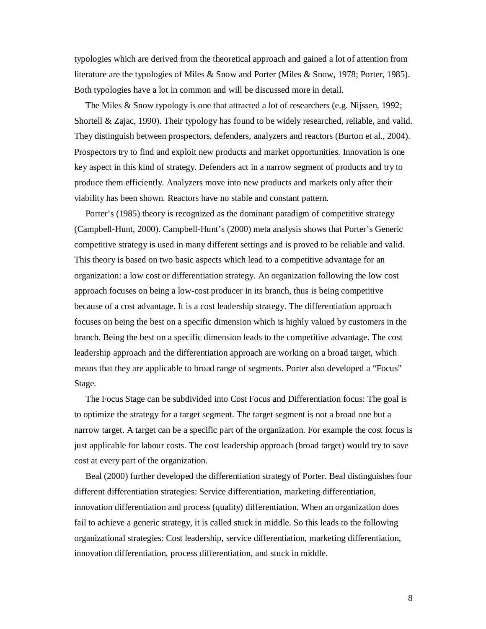typologies which are derived from the theoretical approach and gained a lot of attention from literature are the typologies of Miles & Snow and Porter (Miles & Snow, 1978; Porter, 1985). Both typologies have a lot in common and will be discussed more in detail.

 The Miles & Snow typology is one that attracted a lot of researchers (e.g. Nijssen, 1992; Shortell & Zajac, 1990). Their typology has found to be widely researched, reliable, and valid. They distinguish between prospectors, defenders, analyzers and reactors (Burton et al., 2004). Prospectors try to find and exploit new products and market opportunities. Innovation is one key aspect in this kind of strategy. Defenders act in a narrow segment of products and try to produce them efficiently. Analyzers move into new products and markets only after their viability has been shown. Reactors have no stable and constant pattern.

Porter's (1985) theory is recognized as the dominant paradigm of competitive strategy (Campbell-Hunt, 2000). Campbell-Hunt's (2000) meta analysis shows that Porter's Generic competitive strategy is used in many different settings and is proved to be reliable and valid. This theory is based on two basic aspects which lead to a competitive advantage for an organization: a low cost or differentiation strategy. An organization following the low cost approach focuses on being a low-cost producer in its branch, thus is being competitive because of a cost advantage. It is a cost leadership strategy. The differentiation approach focuses on being the best on a specific dimension which is highly valued by customers in the branch. Being the best on a specific dimension leads to the competitive advantage. The cost leadership approach and the differentiation approach are working on a broad target, which means that they are applicable to broad range of segments. Porter also developed a "Focus" Stage.

 The Focus Stage can be subdivided into Cost Focus and Differentiation focus: The goal is to optimize the strategy for a target segment. The target segment is not a broad one but a narrow target. A target can be a specific part of the organization. For example the cost focus is just applicable for labour costs. The cost leadership approach (broad target) would try to save cost at every part of the organization.

Beal (2000) further developed the differentiation strategy of Porter. Beal distinguishes four different differentiation strategies: Service differentiation, marketing differentiation, innovation differentiation and process (quality) differentiation. When an organization does fail to achieve a generic strategy, it is called stuck in middle. So this leads to the following organizational strategies: Cost leadership, service differentiation, marketing differentiation, innovation differentiation, process differentiation, and stuck in middle.

8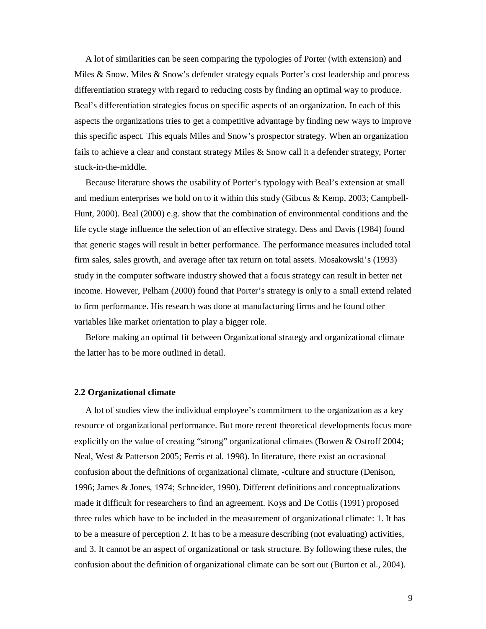A lot of similarities can be seen comparing the typologies of Porter (with extension) and Miles & Snow. Miles & Snow's defender strategy equals Porter's cost leadership and process differentiation strategy with regard to reducing costs by finding an optimal way to produce. Beal's differentiation strategies focus on specific aspects of an organization. In each of this aspects the organizations tries to get a competitive advantage by finding new ways to improve this specific aspect. This equals Miles and Snow's prospector strategy. When an organization fails to achieve a clear and constant strategy Miles & Snow call it a defender strategy, Porter stuck-in-the-middle.

Because literature shows the usability of Porter's typology with Beal's extension at small and medium enterprises we hold on to it within this study (Gibcus & Kemp, 2003; Campbell-Hunt, 2000). Beal (2000) e.g. show that the combination of environmental conditions and the life cycle stage influence the selection of an effective strategy. Dess and Davis (1984) found that generic stages will result in better performance. The performance measures included total firm sales, sales growth, and average after tax return on total assets. Mosakowski's (1993) study in the computer software industry showed that a focus strategy can result in better net income. However, Pelham (2000) found that Porter's strategy is only to a small extend related to firm performance. His research was done at manufacturing firms and he found other variables like market orientation to play a bigger role.

Before making an optimal fit between Organizational strategy and organizational climate the latter has to be more outlined in detail.

#### **2.2 Organizational climate**

A lot of studies view the individual employee's commitment to the organization as a key resource of organizational performance. But more recent theoretical developments focus more explicitly on the value of creating "strong" organizational climates (Bowen & Ostroff 2004; Neal, West & Patterson 2005; Ferris et al. 1998). In literature, there exist an occasional confusion about the definitions of organizational climate, -culture and structure (Denison, 1996; James & Jones, 1974; Schneider, 1990). Different definitions and conceptualizations made it difficult for researchers to find an agreement. Koys and De Cotiis (1991) proposed three rules which have to be included in the measurement of organizational climate: 1. It has to be a measure of perception 2. It has to be a measure describing (not evaluating) activities, and 3. It cannot be an aspect of organizational or task structure. By following these rules, the confusion about the definition of organizational climate can be sort out (Burton et al., 2004).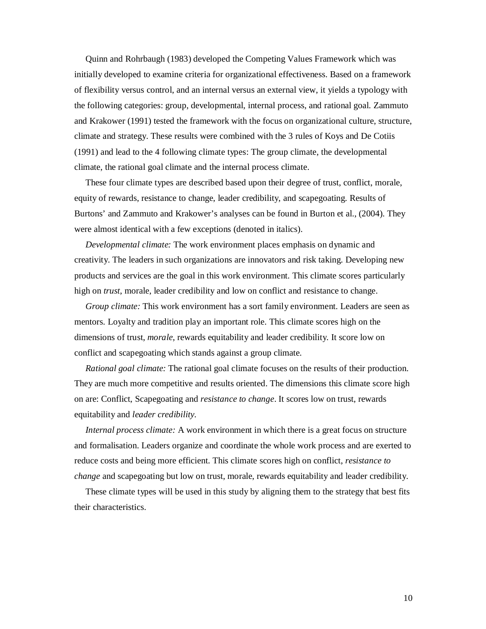Quinn and Rohrbaugh (1983) developed the Competing Values Framework which was initially developed to examine criteria for organizational effectiveness. Based on a framework of flexibility versus control, and an internal versus an external view, it yields a typology with the following categories: group, developmental, internal process, and rational goal. Zammuto and Krakower (1991) tested the framework with the focus on organizational culture, structure, climate and strategy. These results were combined with the 3 rules of Koys and De Cotiis (1991) and lead to the 4 following climate types: The group climate, the developmental climate, the rational goal climate and the internal process climate.

 These four climate types are described based upon their degree of trust, conflict, morale, equity of rewards, resistance to change, leader credibility, and scapegoating. Results of Burtons' and Zammuto and Krakower's analyses can be found in Burton et al., (2004). They were almost identical with a few exceptions (denoted in italics).

 *Developmental climate:* The work environment places emphasis on dynamic and creativity. The leaders in such organizations are innovators and risk taking. Developing new products and services are the goal in this work environment. This climate scores particularly high on *trust*, morale, leader credibility and low on conflict and resistance to change.

*Group climate:* This work environment has a sort family environment. Leaders are seen as mentors. Loyalty and tradition play an important role. This climate scores high on the dimensions of trust, *morale*, rewards equitability and leader credibility. It score low on conflict and scapegoating which stands against a group climate.

*Rational goal climate:* The rational goal climate focuses on the results of their production. They are much more competitive and results oriented. The dimensions this climate score high on are: Conflict, Scapegoating and *resistance to change*. It scores low on trust, rewards equitability and *leader credibility.* 

*Internal process climate:* A work environment in which there is a great focus on structure and formalisation. Leaders organize and coordinate the whole work process and are exerted to reduce costs and being more efficient. This climate scores high on conflict, *resistance to change* and scapegoating but low on trust, morale, rewards equitability and leader credibility.

 These climate types will be used in this study by aligning them to the strategy that best fits their characteristics.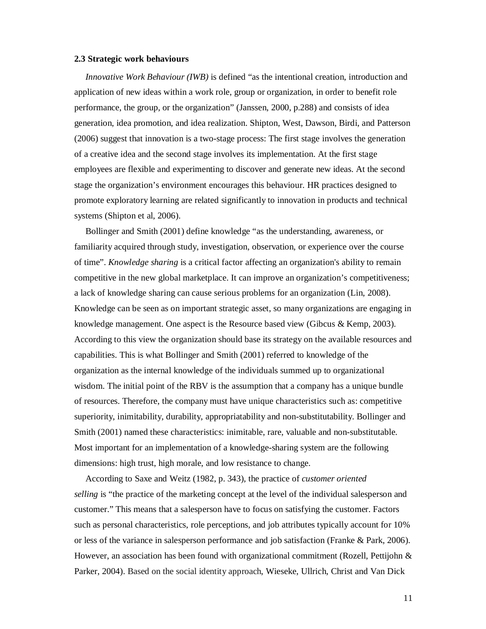#### **2.3 Strategic work behaviours**

 *Innovative Work Behaviour (IWB)* is defined "as the intentional creation, introduction and application of new ideas within a work role, group or organization, in order to benefit role performance, the group, or the organization" (Janssen, 2000, p.288) and consists of idea generation, idea promotion, and idea realization. Shipton, West, Dawson, Birdi, and Patterson (2006) suggest that innovation is a two-stage process: The first stage involves the generation of a creative idea and the second stage involves its implementation. At the first stage employees are flexible and experimenting to discover and generate new ideas. At the second stage the organization's environment encourages this behaviour. HR practices designed to promote exploratory learning are related significantly to innovation in products and technical systems (Shipton et al, 2006).

Bollinger and Smith (2001) define knowledge "as the understanding, awareness, or familiarity acquired through study, investigation, observation, or experience over the course of time". *Knowledge sharing* is a critical factor affecting an organization's ability to remain competitive in the new global marketplace. It can improve an organization's competitiveness; a lack of knowledge sharing can cause serious problems for an organization (Lin, 2008). Knowledge can be seen as on important strategic asset, so many organizations are engaging in knowledge management. One aspect is the Resource based view (Gibcus & Kemp, 2003). According to this view the organization should base its strategy on the available resources and capabilities. This is what Bollinger and Smith (2001) referred to knowledge of the organization as the internal knowledge of the individuals summed up to organizational wisdom. The initial point of the RBV is the assumption that a company has a unique bundle of resources. Therefore, the company must have unique characteristics such as: competitive superiority, inimitability, durability, appropriatability and non-substitutability. Bollinger and Smith (2001) named these characteristics: inimitable, rare, valuable and non-substitutable. Most important for an implementation of a knowledge-sharing system are the following dimensions: high trust, high morale, and low resistance to change.

According to Saxe and Weitz (1982, p. 343), the practice of *customer oriented selling* is "the practice of the marketing concept at the level of the individual salesperson and customer." This means that a salesperson have to focus on satisfying the customer. Factors such as personal characteristics, role perceptions, and job attributes typically account for 10% or less of the variance in salesperson performance and job satisfaction (Franke & Park, 2006). However, an association has been found with organizational commitment (Rozell, Pettijohn & Parker, 2004). Based on the social identity approach, Wieseke, Ullrich, Christ and Van Dick

11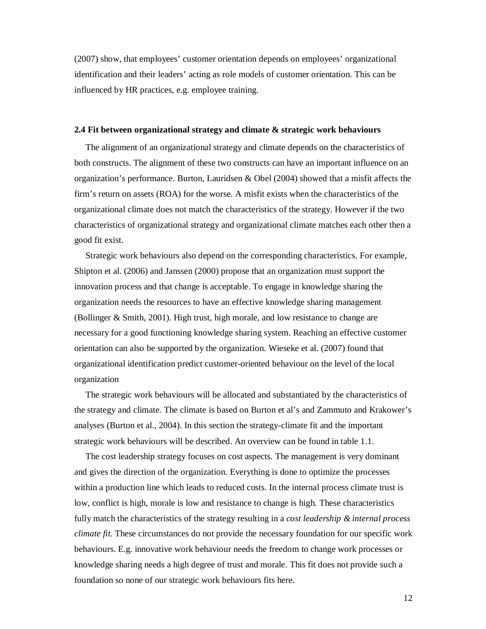(2007) show, that employees' customer orientation depends on employees' organizational identification and their leaders' acting as role models of customer orientation. This can be influenced by HR practices, e.g. employee training.

#### **2.4 Fit between organizational strategy and climate & strategic work behaviours**

 The alignment of an organizational strategy and climate depends on the characteristics of both constructs. The alignment of these two constructs can have an important influence on an organization's performance. Burton, Lauridsen & Obel (2004) showed that a misfit affects the firm's return on assets (ROA) for the worse. A misfit exists when the characteristics of the organizational climate does not match the characteristics of the strategy. However if the two characteristics of organizational strategy and organizational climate matches each other then a good fit exist.

Strategic work behaviours also depend on the corresponding characteristics. For example, Shipton et al. (2006) and Janssen (2000) propose that an organization must support the innovation process and that change is acceptable. To engage in knowledge sharing the organization needs the resources to have an effective knowledge sharing management (Bollinger & Smith, 2001). High trust, high morale, and low resistance to change are necessary for a good functioning knowledge sharing system. Reaching an effective customer orientation can also be supported by the organization. Wieseke et al. (2007) found that organizational identification predict customer-oriented behaviour on the level of the local organization

 The strategic work behaviours will be allocated and substantiated by the characteristics of the strategy and climate. The climate is based on Burton et al's and Zammuto and Krakower's analyses (Burton et al., 2004). In this section the strategy-climate fit and the important strategic work behaviours will be described. An overview can be found in table 1.1.

 The cost leadership strategy focuses on cost aspects. The management is very dominant and gives the direction of the organization. Everything is done to optimize the processes within a production line which leads to reduced costs. In the internal process climate trust is low, conflict is high, morale is low and resistance to change is high. These characteristics fully match the characteristics of the strategy resulting in a *cost leadership & internal process climate fit.* These circumstances do not provide the necessary foundation for our specific work behaviours. E.g. innovative work behaviour needs the freedom to change work processes or knowledge sharing needs a high degree of trust and morale. This fit does not provide such a foundation so none of our strategic work behaviours fits here.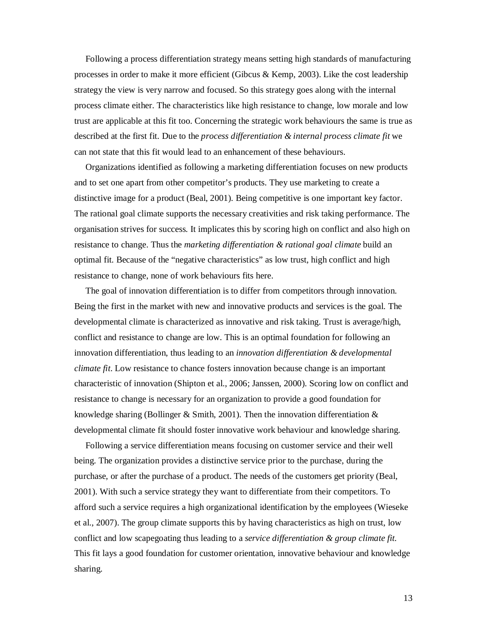Following a process differentiation strategy means setting high standards of manufacturing processes in order to make it more efficient (Gibcus & Kemp, 2003). Like the cost leadership strategy the view is very narrow and focused. So this strategy goes along with the internal process climate either. The characteristics like high resistance to change, low morale and low trust are applicable at this fit too. Concerning the strategic work behaviours the same is true as described at the first fit. Due to the *process differentiation & internal process climate fit* we can not state that this fit would lead to an enhancement of these behaviours.

Organizations identified as following a marketing differentiation focuses on new products and to set one apart from other competitor's products. They use marketing to create a distinctive image for a product (Beal, 2001). Being competitive is one important key factor. The rational goal climate supports the necessary creativities and risk taking performance. The organisation strives for success. It implicates this by scoring high on conflict and also high on resistance to change. Thus the *marketing differentiation & rational goal climate* build an optimal fit. Because of the "negative characteristics" as low trust, high conflict and high resistance to change, none of work behaviours fits here.

 The goal of innovation differentiation is to differ from competitors through innovation. Being the first in the market with new and innovative products and services is the goal. The developmental climate is characterized as innovative and risk taking. Trust is average/high, conflict and resistance to change are low. This is an optimal foundation for following an innovation differentiation, thus leading to an *innovation differentiation & developmental climate fit*. Low resistance to chance fosters innovation because change is an important characteristic of innovation (Shipton et al., 2006; Janssen, 2000). Scoring low on conflict and resistance to change is necessary for an organization to provide a good foundation for knowledge sharing (Bollinger & Smith, 2001). Then the innovation differentiation  $\&$ developmental climate fit should foster innovative work behaviour and knowledge sharing.

Following a service differentiation means focusing on customer service and their well being. The organization provides a distinctive service prior to the purchase, during the purchase, or after the purchase of a product. The needs of the customers get priority (Beal, 2001). With such a service strategy they want to differentiate from their competitors. To afford such a service requires a high organizational identification by the employees (Wieseke et al., 2007). The group climate supports this by having characteristics as high on trust, low conflict and low scapegoating thus leading to a *service differentiation & group climate fit.* This fit lays a good foundation for customer orientation, innovative behaviour and knowledge sharing.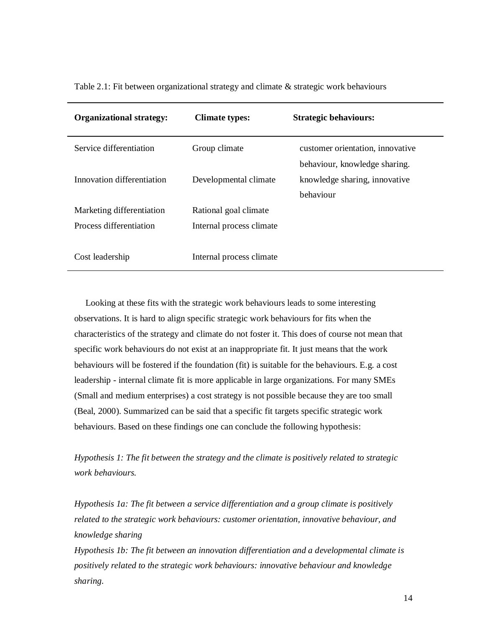| <b>Organizational strategy:</b> | <b>Climate types:</b>    | <b>Strategic behaviours:</b>     |
|---------------------------------|--------------------------|----------------------------------|
| Service differentiation         | Group climate            | customer orientation, innovative |
|                                 |                          | behaviour, knowledge sharing.    |
| Innovation differentiation      | Developmental climate    | knowledge sharing, innovative    |
|                                 |                          | behaviour                        |
| Marketing differentiation       | Rational goal climate    |                                  |
| Process differentiation         | Internal process climate |                                  |
|                                 |                          |                                  |
| Cost leadership                 | Internal process climate |                                  |

Table 2.1: Fit between organizational strategy and climate & strategic work behaviours

Looking at these fits with the strategic work behaviours leads to some interesting observations. It is hard to align specific strategic work behaviours for fits when the characteristics of the strategy and climate do not foster it. This does of course not mean that specific work behaviours do not exist at an inappropriate fit. It just means that the work behaviours will be fostered if the foundation (fit) is suitable for the behaviours. E.g. a cost leadership - internal climate fit is more applicable in large organizations. For many SMEs (Small and medium enterprises) a cost strategy is not possible because they are too small (Beal, 2000). Summarized can be said that a specific fit targets specific strategic work behaviours. Based on these findings one can conclude the following hypothesis:

*Hypothesis 1: The fit between the strategy and the climate is positively related to strategic work behaviours.* 

*Hypothesis 1a: The fit between a service differentiation and a group climate is positively related to the strategic work behaviours: customer orientation, innovative behaviour, and knowledge sharing* 

*Hypothesis 1b: The fit between an innovation differentiation and a developmental climate is positively related to the strategic work behaviours: innovative behaviour and knowledge sharing.*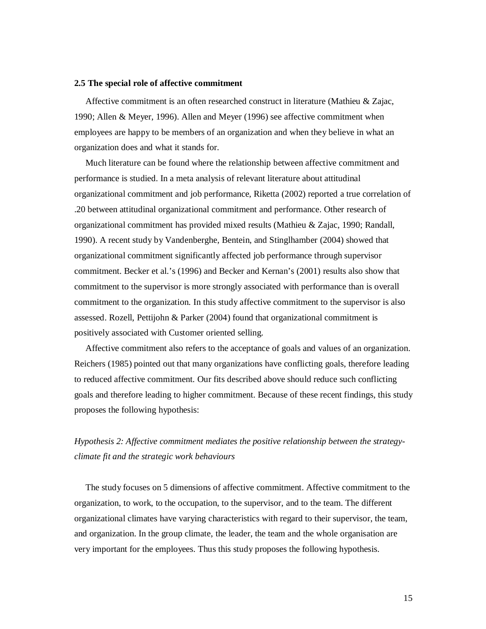#### **2.5 The special role of affective commitment**

Affective commitment is an often researched construct in literature (Mathieu & Zajac, 1990; Allen & Meyer, 1996). Allen and Meyer (1996) see affective commitment when employees are happy to be members of an organization and when they believe in what an organization does and what it stands for.

Much literature can be found where the relationship between affective commitment and performance is studied. In a meta analysis of relevant literature about attitudinal organizational commitment and job performance, Riketta (2002) reported a true correlation of .20 between attitudinal organizational commitment and performance. Other research of organizational commitment has provided mixed results (Mathieu & Zajac, 1990; Randall, 1990). A recent study by Vandenberghe, Bentein, and Stinglhamber (2004) showed that organizational commitment significantly affected job performance through supervisor commitment. Becker et al.'s (1996) and Becker and Kernan's (2001) results also show that commitment to the supervisor is more strongly associated with performance than is overall commitment to the organization. In this study affective commitment to the supervisor is also assessed. Rozell, Pettijohn & Parker (2004) found that organizational commitment is positively associated with Customer oriented selling.

Affective commitment also refers to the acceptance of goals and values of an organization. Reichers (1985) pointed out that many organizations have conflicting goals, therefore leading to reduced affective commitment. Our fits described above should reduce such conflicting goals and therefore leading to higher commitment. Because of these recent findings, this study proposes the following hypothesis:

## *Hypothesis 2: Affective commitment mediates the positive relationship between the strategyclimate fit and the strategic work behaviours*

 The study focuses on 5 dimensions of affective commitment. Affective commitment to the organization, to work, to the occupation, to the supervisor, and to the team. The different organizational climates have varying characteristics with regard to their supervisor, the team, and organization. In the group climate, the leader, the team and the whole organisation are very important for the employees. Thus this study proposes the following hypothesis.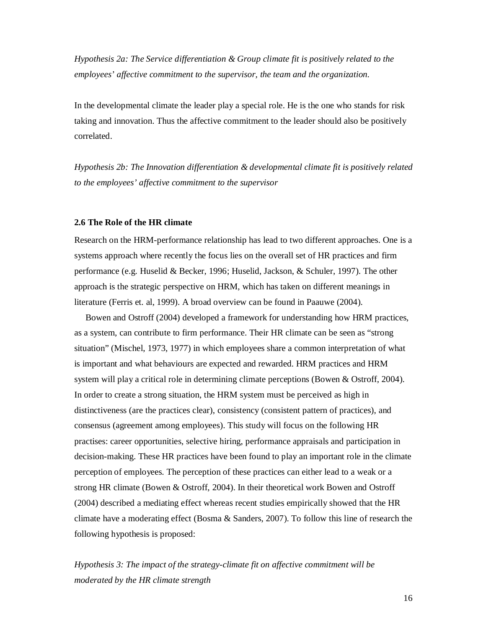*Hypothesis 2a: The Service differentiation & Group climate fit is positively related to the employees' affective commitment to the supervisor, the team and the organization.* 

In the developmental climate the leader play a special role. He is the one who stands for risk taking and innovation. Thus the affective commitment to the leader should also be positively correlated.

*Hypothesis 2b: The Innovation differentiation & developmental climate fit is positively related to the employees' affective commitment to the supervisor* 

## **2.6 The Role of the HR climate**

Research on the HRM-performance relationship has lead to two different approaches. One is a systems approach where recently the focus lies on the overall set of HR practices and firm performance (e.g. Huselid & Becker, 1996; Huselid, Jackson, & Schuler, 1997). The other approach is the strategic perspective on HRM, which has taken on different meanings in literature (Ferris et. al, 1999). A broad overview can be found in Paauwe (2004).

Bowen and Ostroff (2004) developed a framework for understanding how HRM practices, as a system, can contribute to firm performance. Their HR climate can be seen as "strong situation" (Mischel, 1973, 1977) in which employees share a common interpretation of what is important and what behaviours are expected and rewarded. HRM practices and HRM system will play a critical role in determining climate perceptions (Bowen & Ostroff, 2004). In order to create a strong situation, the HRM system must be perceived as high in distinctiveness (are the practices clear), consistency (consistent pattern of practices), and consensus (agreement among employees). This study will focus on the following HR practises: career opportunities, selective hiring, performance appraisals and participation in decision-making. These HR practices have been found to play an important role in the climate perception of employees. The perception of these practices can either lead to a weak or a strong HR climate (Bowen & Ostroff, 2004). In their theoretical work Bowen and Ostroff (2004) described a mediating effect whereas recent studies empirically showed that the HR climate have a moderating effect (Bosma & Sanders, 2007). To follow this line of research the following hypothesis is proposed:

*Hypothesis 3: The impact of the strategy-climate fit on affective commitment will be moderated by the HR climate strength*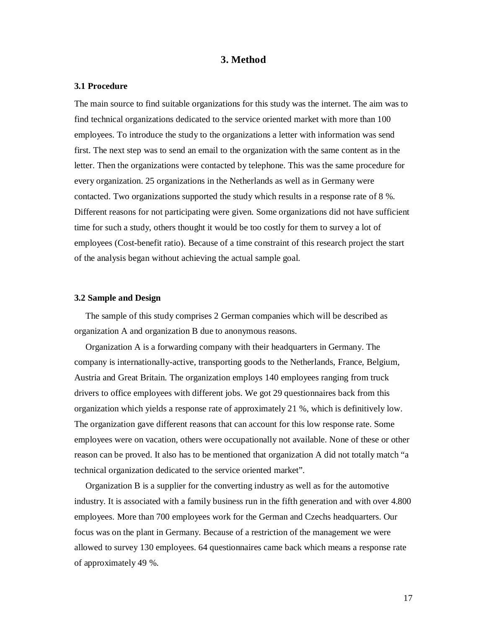## **3. Method**

#### **3.1 Procedure**

The main source to find suitable organizations for this study was the internet. The aim was to find technical organizations dedicated to the service oriented market with more than 100 employees. To introduce the study to the organizations a letter with information was send first. The next step was to send an email to the organization with the same content as in the letter. Then the organizations were contacted by telephone. This was the same procedure for every organization. 25 organizations in the Netherlands as well as in Germany were contacted. Two organizations supported the study which results in a response rate of 8 %. Different reasons for not participating were given. Some organizations did not have sufficient time for such a study, others thought it would be too costly for them to survey a lot of employees (Cost-benefit ratio). Because of a time constraint of this research project the start of the analysis began without achieving the actual sample goal.

#### **3.2 Sample and Design**

 The sample of this study comprises 2 German companies which will be described as organization A and organization B due to anonymous reasons.

Organization A is a forwarding company with their headquarters in Germany. The company is internationally-active, transporting goods to the Netherlands, France, Belgium, Austria and Great Britain. The organization employs 140 employees ranging from truck drivers to office employees with different jobs. We got 29 questionnaires back from this organization which yields a response rate of approximately 21 %, which is definitively low. The organization gave different reasons that can account for this low response rate. Some employees were on vacation, others were occupationally not available. None of these or other reason can be proved. It also has to be mentioned that organization A did not totally match "a technical organization dedicated to the service oriented market".

Organization B is a supplier for the converting industry as well as for the automotive industry. It is associated with a family business run in the fifth generation and with over 4.800 employees. More than 700 employees work for the German and Czechs headquarters. Our focus was on the plant in Germany. Because of a restriction of the management we were allowed to survey 130 employees. 64 questionnaires came back which means a response rate of approximately 49 %.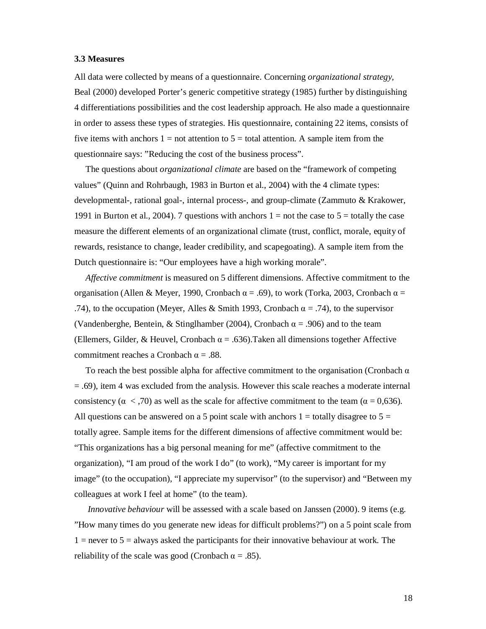#### **3.3 Measures**

All data were collected by means of a questionnaire. Concerning *organizational strategy,* Beal (2000) developed Porter's generic competitive strategy (1985) further by distinguishing 4 differentiations possibilities and the cost leadership approach. He also made a questionnaire in order to assess these types of strategies. His questionnaire, containing 22 items, consists of five items with anchors  $1 =$  not attention to  $5 =$  total attention. A sample item from the questionnaire says: "Reducing the cost of the business process".

 The questions about *organizational climate* are based on the "framework of competing values" (Quinn and Rohrbaugh, 1983 in Burton et al., 2004) with the 4 climate types: developmental-, rational goal-, internal process-, and group-climate (Zammuto & Krakower, 1991 in Burton et al., 2004). 7 questions with anchors  $1 =$  not the case to  $5 =$  totally the case measure the different elements of an organizational climate (trust, conflict, morale, equity of rewards, resistance to change, leader credibility, and scapegoating). A sample item from the Dutch questionnaire is: "Our employees have a high working morale".

 *Affective commitment* is measured on 5 different dimensions. Affective commitment to the organisation (Allen & Meyer, 1990, Cronbach  $\alpha = .69$ ), to work (Torka, 2003, Cronbach  $\alpha =$ .74), to the occupation (Meyer, Alles & Smith 1993, Cronbach  $\alpha = .74$ ), to the supervisor (Vandenberghe, Bentein, & Stinglhamber (2004), Cronbach  $\alpha$  = .906) and to the team (Ellemers, Gilder, & Heuvel, Cronbach  $\alpha = .636$ ).Taken all dimensions together Affective commitment reaches a Cronbach  $\alpha = .88$ .

To reach the best possible alpha for affective commitment to the organisation (Cronbach  $\alpha$ ) = .69), item 4 was excluded from the analysis. However this scale reaches a moderate internal consistency ( $\alpha$  < ,70) as well as the scale for affective commitment to the team ( $\alpha$  = 0,636). All questions can be answered on a 5 point scale with anchors  $1 =$  totally disagree to  $5 =$ totally agree. Sample items for the different dimensions of affective commitment would be: "This organizations has a big personal meaning for me" (affective commitment to the organization), "I am proud of the work I do" (to work), "My career is important for my image" (to the occupation), "I appreciate my supervisor" (to the supervisor) and "Between my colleagues at work I feel at home" (to the team).

 *Innovative behaviour* will be assessed with a scale based on Janssen (2000). 9 items (e.g. "How many times do you generate new ideas for difficult problems?") on a 5 point scale from  $1 =$  never to  $5 =$  always asked the participants for their innovative behaviour at work. The reliability of the scale was good (Cronbach  $\alpha = .85$ ).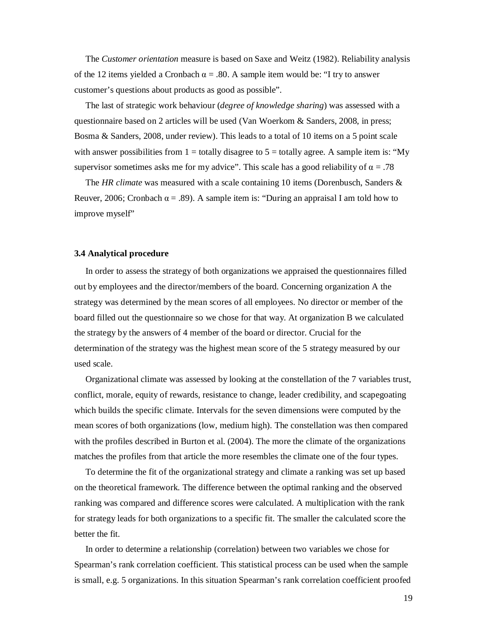The *Customer orientation* measure is based on Saxe and Weitz (1982). Reliability analysis of the 12 items yielded a Cronbach  $\alpha = 0.80$ . A sample item would be: "I try to answer customer's questions about products as good as possible".

 The last of strategic work behaviour (*degree of knowledge sharing*) was assessed with a questionnaire based on 2 articles will be used (Van Woerkom & Sanders, 2008, in press; Bosma & Sanders, 2008, under review). This leads to a total of 10 items on a 5 point scale with answer possibilities from  $1 =$  totally disagree to  $5 =$  totally agree. A sample item is: "My supervisor sometimes asks me for my advice". This scale has a good reliability of  $\alpha = .78$ 

 The *HR climate* was measured with a scale containing 10 items (Dorenbusch, Sanders & Reuver, 2006; Cronbach  $\alpha = .89$ . A sample item is: "During an appraisal I am told how to improve myself"

#### **3.4 Analytical procedure**

In order to assess the strategy of both organizations we appraised the questionnaires filled out by employees and the director/members of the board. Concerning organization A the strategy was determined by the mean scores of all employees. No director or member of the board filled out the questionnaire so we chose for that way. At organization B we calculated the strategy by the answers of 4 member of the board or director. Crucial for the determination of the strategy was the highest mean score of the 5 strategy measured by our used scale.

Organizational climate was assessed by looking at the constellation of the 7 variables trust, conflict, morale, equity of rewards, resistance to change, leader credibility, and scapegoating which builds the specific climate. Intervals for the seven dimensions were computed by the mean scores of both organizations (low, medium high). The constellation was then compared with the profiles described in Burton et al. (2004). The more the climate of the organizations matches the profiles from that article the more resembles the climate one of the four types.

To determine the fit of the organizational strategy and climate a ranking was set up based on the theoretical framework. The difference between the optimal ranking and the observed ranking was compared and difference scores were calculated. A multiplication with the rank for strategy leads for both organizations to a specific fit. The smaller the calculated score the better the fit.

In order to determine a relationship (correlation) between two variables we chose for Spearman's rank correlation coefficient. This statistical process can be used when the sample is small, e.g. 5 organizations. In this situation Spearman's rank correlation coefficient proofed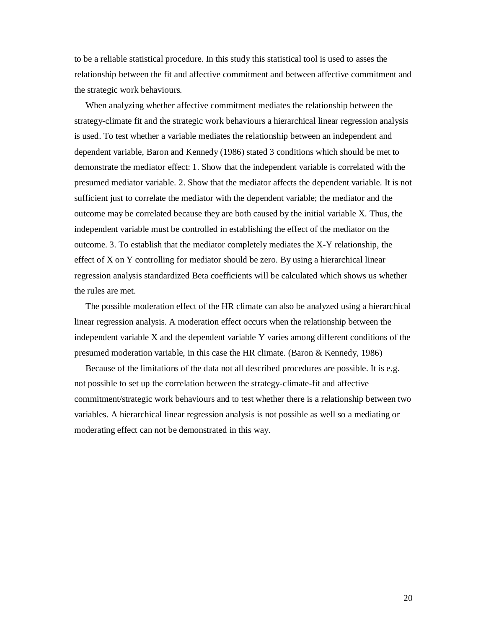to be a reliable statistical procedure. In this study this statistical tool is used to asses the relationship between the fit and affective commitment and between affective commitment and the strategic work behaviours.

When analyzing whether affective commitment mediates the relationship between the strategy-climate fit and the strategic work behaviours a hierarchical linear regression analysis is used. To test whether a variable mediates the relationship between an independent and dependent variable, Baron and Kennedy (1986) stated 3 conditions which should be met to demonstrate the mediator effect: 1. Show that the independent variable is correlated with the presumed mediator variable. 2. Show that the mediator affects the dependent variable. It is not sufficient just to correlate the mediator with the dependent variable; the mediator and the outcome may be correlated because they are both caused by the initial variable X. Thus, the independent variable must be controlled in establishing the effect of the mediator on the outcome. 3. To establish that the mediator completely mediates the X-Y relationship, the effect of X on Y controlling for mediator should be zero. By using a hierarchical linear regression analysis standardized Beta coefficients will be calculated which shows us whether the rules are met.

 The possible moderation effect of the HR climate can also be analyzed using a hierarchical linear regression analysis. A moderation effect occurs when the relationship between the independent variable X and the dependent variable Y varies among different conditions of the presumed moderation variable, in this case the HR climate. (Baron & Kennedy, 1986)

Because of the limitations of the data not all described procedures are possible. It is e.g. not possible to set up the correlation between the strategy-climate-fit and affective commitment/strategic work behaviours and to test whether there is a relationship between two variables. A hierarchical linear regression analysis is not possible as well so a mediating or moderating effect can not be demonstrated in this way.

20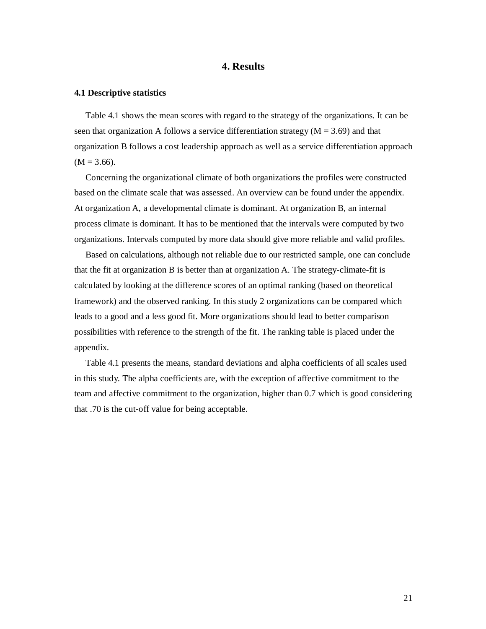## **4. Results**

#### **4.1 Descriptive statistics**

 Table 4.1 shows the mean scores with regard to the strategy of the organizations. It can be seen that organization A follows a service differentiation strategy ( $M = 3.69$ ) and that organization B follows a cost leadership approach as well as a service differentiation approach  $(M = 3.66)$ .

Concerning the organizational climate of both organizations the profiles were constructed based on the climate scale that was assessed. An overview can be found under the appendix. At organization A, a developmental climate is dominant. At organization B, an internal process climate is dominant. It has to be mentioned that the intervals were computed by two organizations. Intervals computed by more data should give more reliable and valid profiles.

Based on calculations, although not reliable due to our restricted sample, one can conclude that the fit at organization B is better than at organization A. The strategy-climate-fit is calculated by looking at the difference scores of an optimal ranking (based on theoretical framework) and the observed ranking. In this study 2 organizations can be compared which leads to a good and a less good fit. More organizations should lead to better comparison possibilities with reference to the strength of the fit. The ranking table is placed under the appendix.

 Table 4.1 presents the means, standard deviations and alpha coefficients of all scales used in this study. The alpha coefficients are, with the exception of affective commitment to the team and affective commitment to the organization, higher than 0.7 which is good considering that .70 is the cut-off value for being acceptable.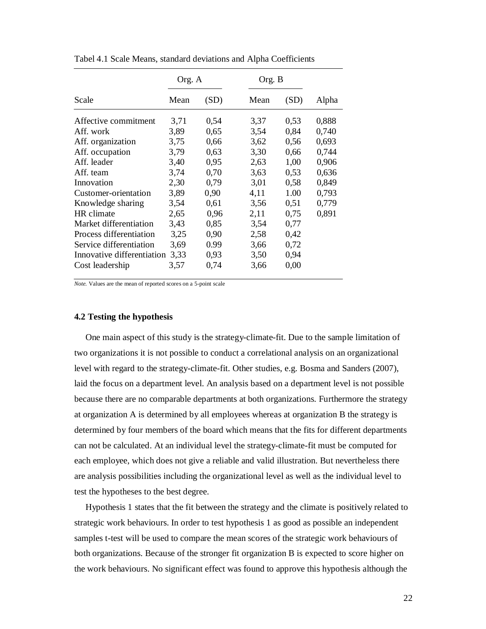|                            | Org. A |      |      | Org. B |       |
|----------------------------|--------|------|------|--------|-------|
| Scale                      | Mean   | (SD) | Mean | (SD)   | Alpha |
| Affective commitment       | 3,71   | 0,54 | 3,37 | 0,53   | 0,888 |
| Aff. work                  | 3,89   | 0,65 | 3,54 | 0.84   | 0,740 |
| Aff. organization          | 3,75   | 0,66 | 3,62 | 0,56   | 0,693 |
| Aff. occupation            | 3,79   | 0.63 | 3,30 | 0,66   | 0,744 |
| Aff. leader                | 3,40   | 0,95 | 2,63 | 1,00   | 0,906 |
| Aff. team                  | 3,74   | 0,70 | 3,63 | 0,53   | 0,636 |
| Innovation                 | 2,30   | 0.79 | 3,01 | 0.58   | 0,849 |
| Customer-orientation       | 3,89   | 0,90 | 4,11 | 1.00   | 0,793 |
| Knowledge sharing          | 3,54   | 0,61 | 3,56 | 0,51   | 0,779 |
| HR climate                 | 2,65   | 0,96 | 2,11 | 0,75   | 0,891 |
| Market differentiation     | 3,43   | 0,85 | 3,54 | 0,77   |       |
| Process differentiation    | 3,25   | 0.90 | 2,58 | 0,42   |       |
| Service differentiation    | 3,69   | 0.99 | 3,66 | 0,72   |       |
| Innovative differentiation | 3,33   | 0,93 | 3,50 | 0,94   |       |
| Cost leadership            | 3,57   | 0,74 | 3,66 | 0,00   |       |

Tabel 4.1 Scale Means, standard deviations and Alpha Coefficients

*Note.* Values are the mean of reported scores on a 5-point scale

#### **4.2 Testing the hypothesis**

One main aspect of this study is the strategy-climate-fit. Due to the sample limitation of two organizations it is not possible to conduct a correlational analysis on an organizational level with regard to the strategy-climate-fit. Other studies, e.g. Bosma and Sanders (2007), laid the focus on a department level. An analysis based on a department level is not possible because there are no comparable departments at both organizations. Furthermore the strategy at organization A is determined by all employees whereas at organization B the strategy is determined by four members of the board which means that the fits for different departments can not be calculated. At an individual level the strategy-climate-fit must be computed for each employee, which does not give a reliable and valid illustration. But nevertheless there are analysis possibilities including the organizational level as well as the individual level to test the hypotheses to the best degree.

Hypothesis 1 states that the fit between the strategy and the climate is positively related to strategic work behaviours. In order to test hypothesis 1 as good as possible an independent samples t-test will be used to compare the mean scores of the strategic work behaviours of both organizations. Because of the stronger fit organization B is expected to score higher on the work behaviours. No significant effect was found to approve this hypothesis although the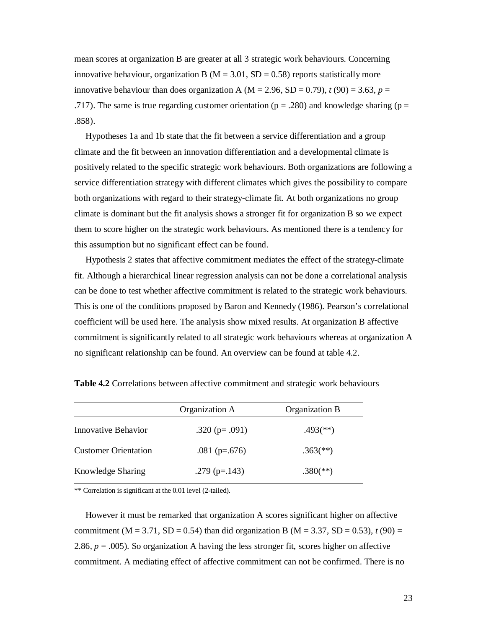mean scores at organization B are greater at all 3 strategic work behaviours. Concerning innovative behaviour, organization B ( $M = 3.01$ , SD = 0.58) reports statistically more innovative behaviour than does organization A ( $M = 2.96$ ,  $SD = 0.79$ ),  $t(90) = 3.63$ ,  $p =$ .717). The same is true regarding customer orientation ( $p = .280$ ) and knowledge sharing ( $p =$ .858).

Hypotheses 1a and 1b state that the fit between a service differentiation and a group climate and the fit between an innovation differentiation and a developmental climate is positively related to the specific strategic work behaviours. Both organizations are following a service differentiation strategy with different climates which gives the possibility to compare both organizations with regard to their strategy-climate fit. At both organizations no group climate is dominant but the fit analysis shows a stronger fit for organization B so we expect them to score higher on the strategic work behaviours. As mentioned there is a tendency for this assumption but no significant effect can be found.

Hypothesis 2 states that affective commitment mediates the effect of the strategy-climate fit. Although a hierarchical linear regression analysis can not be done a correlational analysis can be done to test whether affective commitment is related to the strategic work behaviours. This is one of the conditions proposed by Baron and Kennedy (1986). Pearson's correlational coefficient will be used here. The analysis show mixed results. At organization B affective commitment is significantly related to all strategic work behaviours whereas at organization A no significant relationship can be found. An overview can be found at table 4.2.

|                             | Organization A      | Organization B           |  |
|-----------------------------|---------------------|--------------------------|--|
| Innovative Behavior         | .320 ( $p = .091$ ) | $.493$ <sup>(**)</sup> ) |  |
| <b>Customer Orientation</b> | .081 ( $p=.676$ )   | $.363$ <sup>(**)</sup> ) |  |
| Knowledge Sharing           | .279 ( $p=.143$ )   | $.380$ <sup>(**)</sup> ) |  |

**Table 4.2** Correlations between affective commitment and strategic work behaviours

\*\* Correlation is significant at the 0.01 level (2-tailed).

However it must be remarked that organization A scores significant higher on affective commitment (M = 3.71, SD = 0.54) than did organization B (M = 3.37, SD = 0.53),  $t(90)$  = 2.86,  $p = 0.005$ ). So organization A having the less stronger fit, scores higher on affective commitment. A mediating effect of affective commitment can not be confirmed. There is no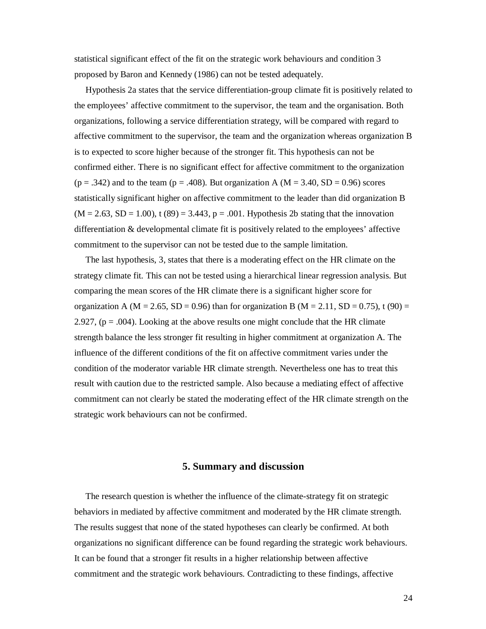statistical significant effect of the fit on the strategic work behaviours and condition 3 proposed by Baron and Kennedy (1986) can not be tested adequately.

Hypothesis 2a states that the service differentiation-group climate fit is positively related to the employees' affective commitment to the supervisor, the team and the organisation. Both organizations, following a service differentiation strategy, will be compared with regard to affective commitment to the supervisor, the team and the organization whereas organization B is to expected to score higher because of the stronger fit. This hypothesis can not be confirmed either. There is no significant effect for affective commitment to the organization  $(p = .342)$  and to the team  $(p = .408)$ . But organization A  $(M = 3.40, SD = 0.96)$  scores statistically significant higher on affective commitment to the leader than did organization B  $(M = 2.63, SD = 1.00)$ , t  $(89) = 3.443$ ,  $p = .001$ . Hypothesis 2b stating that the innovation differentiation & developmental climate fit is positively related to the employees' affective commitment to the supervisor can not be tested due to the sample limitation.

 The last hypothesis, 3, states that there is a moderating effect on the HR climate on the strategy climate fit. This can not be tested using a hierarchical linear regression analysis. But comparing the mean scores of the HR climate there is a significant higher score for organization A ( $M = 2.65$ ,  $SD = 0.96$ ) than for organization B ( $M = 2.11$ ,  $SD = 0.75$ ), t (90) = 2.927,  $(p = .004)$ . Looking at the above results one might conclude that the HR climate strength balance the less stronger fit resulting in higher commitment at organization A. The influence of the different conditions of the fit on affective commitment varies under the condition of the moderator variable HR climate strength. Nevertheless one has to treat this result with caution due to the restricted sample. Also because a mediating effect of affective commitment can not clearly be stated the moderating effect of the HR climate strength on the strategic work behaviours can not be confirmed.

## **5. Summary and discussion**

 The research question is whether the influence of the climate-strategy fit on strategic behaviors in mediated by affective commitment and moderated by the HR climate strength. The results suggest that none of the stated hypotheses can clearly be confirmed. At both organizations no significant difference can be found regarding the strategic work behaviours. It can be found that a stronger fit results in a higher relationship between affective commitment and the strategic work behaviours. Contradicting to these findings, affective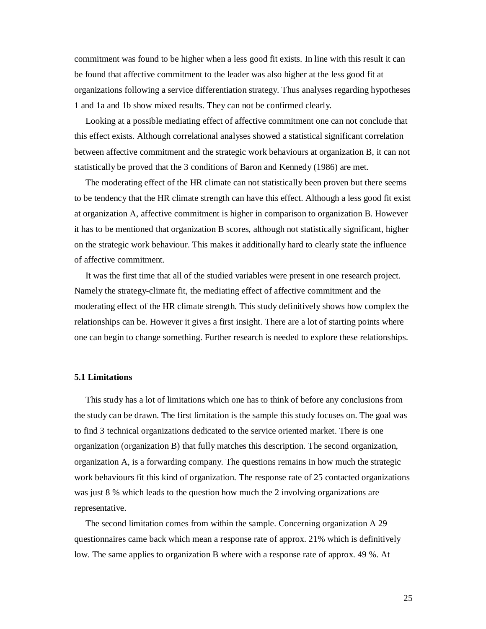commitment was found to be higher when a less good fit exists. In line with this result it can be found that affective commitment to the leader was also higher at the less good fit at organizations following a service differentiation strategy. Thus analyses regarding hypotheses 1 and 1a and 1b show mixed results. They can not be confirmed clearly.

Looking at a possible mediating effect of affective commitment one can not conclude that this effect exists. Although correlational analyses showed a statistical significant correlation between affective commitment and the strategic work behaviours at organization B, it can not statistically be proved that the 3 conditions of Baron and Kennedy (1986) are met.

 The moderating effect of the HR climate can not statistically been proven but there seems to be tendency that the HR climate strength can have this effect. Although a less good fit exist at organization A, affective commitment is higher in comparison to organization B. However it has to be mentioned that organization B scores, although not statistically significant, higher on the strategic work behaviour. This makes it additionally hard to clearly state the influence of affective commitment.

It was the first time that all of the studied variables were present in one research project. Namely the strategy-climate fit, the mediating effect of affective commitment and the moderating effect of the HR climate strength. This study definitively shows how complex the relationships can be. However it gives a first insight. There are a lot of starting points where one can begin to change something. Further research is needed to explore these relationships.

#### **5.1 Limitations**

 This study has a lot of limitations which one has to think of before any conclusions from the study can be drawn. The first limitation is the sample this study focuses on. The goal was to find 3 technical organizations dedicated to the service oriented market. There is one organization (organization B) that fully matches this description. The second organization, organization A, is a forwarding company. The questions remains in how much the strategic work behaviours fit this kind of organization. The response rate of 25 contacted organizations was just 8 % which leads to the question how much the 2 involving organizations are representative.

 The second limitation comes from within the sample. Concerning organization A 29 questionnaires came back which mean a response rate of approx. 21% which is definitively low. The same applies to organization B where with a response rate of approx. 49 %. At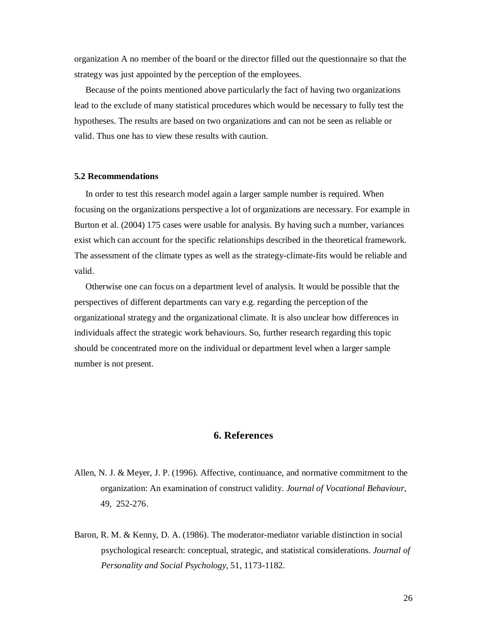organization A no member of the board or the director filled out the questionnaire so that the strategy was just appointed by the perception of the employees.

Because of the points mentioned above particularly the fact of having two organizations lead to the exclude of many statistical procedures which would be necessary to fully test the hypotheses. The results are based on two organizations and can not be seen as reliable or valid. Thus one has to view these results with caution.

#### **5.2 Recommendations**

In order to test this research model again a larger sample number is required. When focusing on the organizations perspective a lot of organizations are necessary. For example in Burton et al. (2004) 175 cases were usable for analysis. By having such a number, variances exist which can account for the specific relationships described in the theoretical framework. The assessment of the climate types as well as the strategy-climate-fits would be reliable and valid.

Otherwise one can focus on a department level of analysis. It would be possible that the perspectives of different departments can vary e.g. regarding the perception of the organizational strategy and the organizational climate. It is also unclear how differences in individuals affect the strategic work behaviours. So, further research regarding this topic should be concentrated more on the individual or department level when a larger sample number is not present.

## **6. References**

- Allen, N. J. & Meyer, J. P. (1996). Affective, continuance, and normative commitment to the organization: An examination of construct validity. *Journal of Vocational Behaviour*, 49, 252-276.
- Baron, R. M. & Kenny, D. A. (1986). The moderator-mediator variable distinction in social psychological research: conceptual, strategic, and statistical considerations. *Journal of Personality and Social Psychology*, 51, 1173-1182.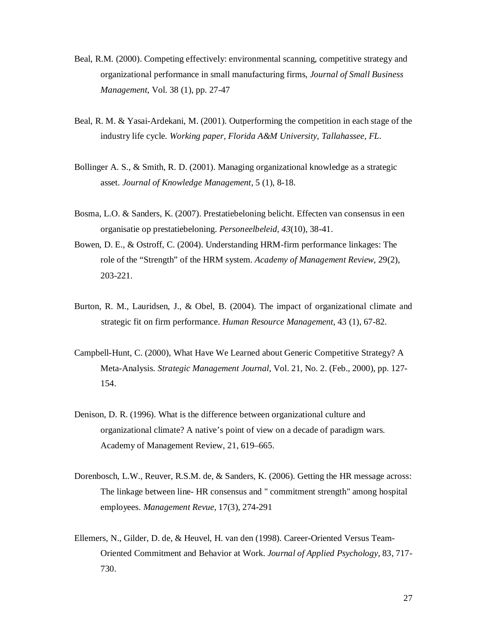- Beal, R.M. (2000). Competing effectively: environmental scanning, competitive strategy and organizational performance in small manufacturing firms, *Journal of Small Business Management*, Vol. 38 (1), pp. 27-47
- Beal, R. M. & Yasai-Ardekani, M. (2001). Outperforming the competition in each stage of the industry life cycle. *Working paper, Florida A&M University, Tallahassee, FL.*
- Bollinger A. S., & Smith, R. D. (2001). Managing organizational knowledge as a strategic asset. *Journal of Knowledge Management*, 5 (1), 8-18.
- Bosma, L.O. & Sanders, K. (2007). Prestatiebeloning belicht. Effecten van consensus in een organisatie op prestatiebeloning. *Personeelbeleid, 43*(10), 38-41.
- Bowen, D. E., & Ostroff, C. (2004). Understanding HRM-firm performance linkages: The role of the "Strength" of the HRM system. *Academy of Management Review*, 29(2), 203-221.
- Burton, R. M., Lauridsen, J., & Obel, B. (2004). The impact of organizational climate and strategic fit on firm performance. *Human Resource Management*, 43 (1), 67-82.
- Campbell-Hunt, C. (2000), What Have We Learned about Generic Competitive Strategy? A Meta-Analysis. *Strategic Management Journal*, Vol. 21, No. 2. (Feb., 2000), pp. 127- 154.
- Denison, D. R. (1996). What is the difference between organizational culture and organizational climate? A native's point of view on a decade of paradigm wars. Academy of Management Review, 21, 619–665.
- Dorenbosch, L.W., Reuver, R.S.M. de, & Sanders, K. (2006). Getting the HR message across: The linkage between line- HR consensus and " commitment strength" among hospital employees. *Management Revue*, 17(3), 274-291
- Ellemers, N., Gilder, D. de, & Heuvel, H. van den (1998). Career-Oriented Versus Team-Oriented Commitment and Behavior at Work. *Journal of Applied Psychology*, 83, 717- 730.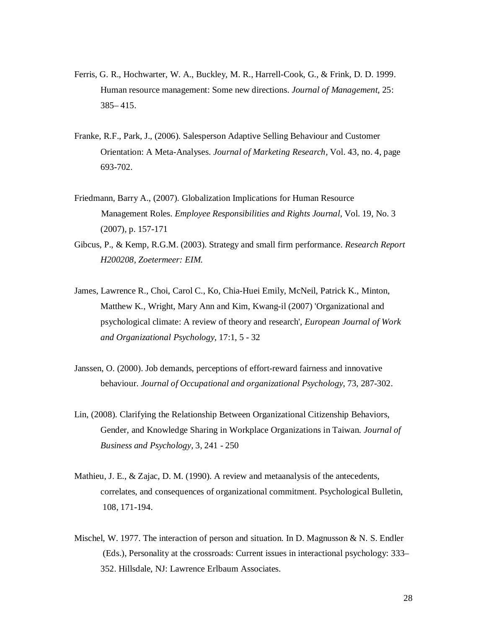- Ferris, G. R., Hochwarter, W. A., Buckley, M. R., Harrell-Cook, G., & Frink, D. D. 1999. Human resource management: Some new directions. *Journal of Management*, 25: 385– 415.
- Franke, R.F., Park, J., (2006). Salesperson Adaptive Selling Behaviour and Customer Orientation: A Meta-Analyses. *Journal of Marketing Research*, Vol. 43, no. 4, page 693-702.
- Friedmann, Barry A., (2007). Globalization Implications for Human Resource Management Roles. *Employee Responsibilities and Rights Journal,* Vol. 19, No. 3 (2007), p. 157-171
- Gibcus, P., & Kemp, R.G.M. (2003). Strategy and small firm performance. *Research Report H200208, Zoetermeer: EIM.*
- James, Lawrence R., Choi, Carol C., Ko, Chia-Huei Emily, McNeil, Patrick K., Minton, Matthew K., Wright, Mary Ann and Kim, Kwang-il (2007) 'Organizational and psychological climate: A review of theory and research', *European Journal of Work and Organizational Psychology*, 17:1, 5 - 32
- Janssen, O. (2000). Job demands, perceptions of effort-reward fairness and innovative behaviour. *Journal of Occupational and organizational Psychology*, 73, 287-302.
- Lin, (2008). Clarifying the Relationship Between Organizational Citizenship Behaviors, Gender, and Knowledge Sharing in Workplace Organizations in Taiwan. *Journal of Business and Psychology,* 3, 241 - 250
- Mathieu, J. E., & Zajac, D. M. (1990). A review and metaanalysis of the antecedents, correlates, and consequences of organizational commitment. Psychological Bulletin, 108, 171-194.
- Mischel, W. 1977. The interaction of person and situation. In D. Magnusson & N. S. Endler (Eds.), Personality at the crossroads: Current issues in interactional psychology: 333– 352. Hillsdale, NJ: Lawrence Erlbaum Associates.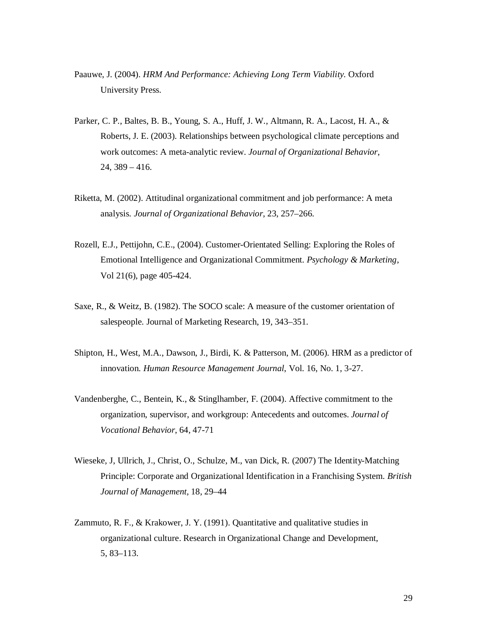- Paauwe, J. (2004). *HRM And Performance: Achieving Long Term Viability.* Oxford University Press.
- Parker, C. P., Baltes, B. B., Young, S. A., Huff, J. W., Altmann, R. A., Lacost, H. A., & Roberts, J. E. (2003). Relationships between psychological climate perceptions and work outcomes: A meta-analytic review. *Journal of Organizational Behavior*, 24, 389 – 416.
- Riketta, M. (2002). Attitudinal organizational commitment and job performance: A meta analysis. *Journal of Organizational Behavior*, 23, 257–266.
- Rozell, E.J., Pettijohn, C.E., (2004). Customer-Orientated Selling: Exploring the Roles of Emotional Intelligence and Organizational Commitment. *Psychology & Marketing*, Vol 21(6), page 405-424.
- Saxe, R., & Weitz, B. (1982). The SOCO scale: A measure of the customer orientation of salespeople. Journal of Marketing Research, 19, 343–351.
- Shipton, H., West, M.A., Dawson, J., Birdi, K. & Patterson, M. (2006). HRM as a predictor of innovation. *Human Resource Management Journal*, Vol. 16, No. 1, 3-27.
- Vandenberghe, C., Bentein, K., & Stinglhamber, F. (2004). Affective commitment to the organization, supervisor, and workgroup: Antecedents and outcomes. *Journal of Vocational Behavior*, 64, 47-71
- Wieseke, J, Ullrich, J., Christ, O., Schulze, M., van Dick, R. (2007) The Identity-Matching Principle: Corporate and Organizational Identification in a Franchising System. *British Journal of Management,* 18, 29–44
- Zammuto, R. F., & Krakower, J. Y. (1991). Quantitative and qualitative studies in organizational culture. Research in Organizational Change and Development, 5, 83–113.